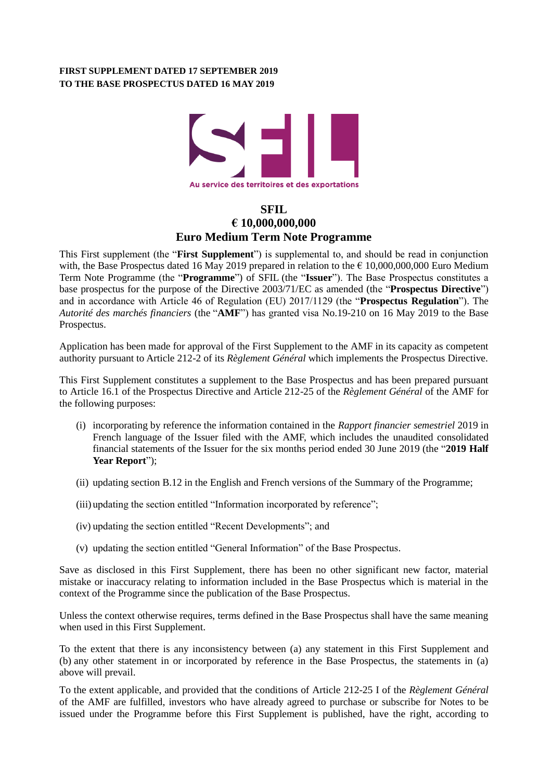## **FIRST SUPPLEMENT DATED 17 SEPTEMBER 2019 TO THE BASE PROSPECTUS DATED 16 MAY 2019**



# **SFIL € 10,000,000,000 Euro Medium Term Note Programme**

This First supplement (the "**First Supplement**") is supplemental to, and should be read in conjunction with, the Base Prospectus dated 16 May 2019 prepared in relation to the € 10,000,000,000 Euro Medium Term Note Programme (the "**Programme**") of SFIL (the "**Issuer**"). The Base Prospectus constitutes a base prospectus for the purpose of the Directive 2003/71/EC as amended (the "**Prospectus Directive**") and in accordance with Article 46 of Regulation (EU) 2017/1129 (the "**Prospectus Regulation**"). The *Autorité des marchés financiers* (the "**AMF**") has granted visa No.19-210 on 16 May 2019 to the Base Prospectus.

Application has been made for approval of the First Supplement to the AMF in its capacity as competent authority pursuant to Article 212-2 of its *Règlement Général* which implements the Prospectus Directive.

This First Supplement constitutes a supplement to the Base Prospectus and has been prepared pursuant to Article 16.1 of the Prospectus Directive and Article 212-25 of the *Règlement Général* of the AMF for the following purposes:

- (i) incorporating by reference the information contained in the *Rapport financier semestriel* 2019 in French language of the Issuer filed with the AMF, which includes the unaudited consolidated financial statements of the Issuer for the six months period ended 30 June 2019 (the "**2019 Half Year Report**");
- (ii) updating section B.12 in the English and French versions of the Summary of the Programme;
- (iii) updating the section entitled "Information incorporated by reference";
- (iv) updating the section entitled "Recent Developments"; and
- (v) updating the section entitled "General Information" of the Base Prospectus.

Save as disclosed in this First Supplement, there has been no other significant new factor, material mistake or inaccuracy relating to information included in the Base Prospectus which is material in the context of the Programme since the publication of the Base Prospectus.

Unless the context otherwise requires, terms defined in the Base Prospectus shall have the same meaning when used in this First Supplement.

To the extent that there is any inconsistency between (a) any statement in this First Supplement and (b) any other statement in or incorporated by reference in the Base Prospectus, the statements in (a) above will prevail.

To the extent applicable, and provided that the conditions of Article 212-25 I of the *Règlement Général* of the AMF are fulfilled, investors who have already agreed to purchase or subscribe for Notes to be issued under the Programme before this First Supplement is published, have the right, according to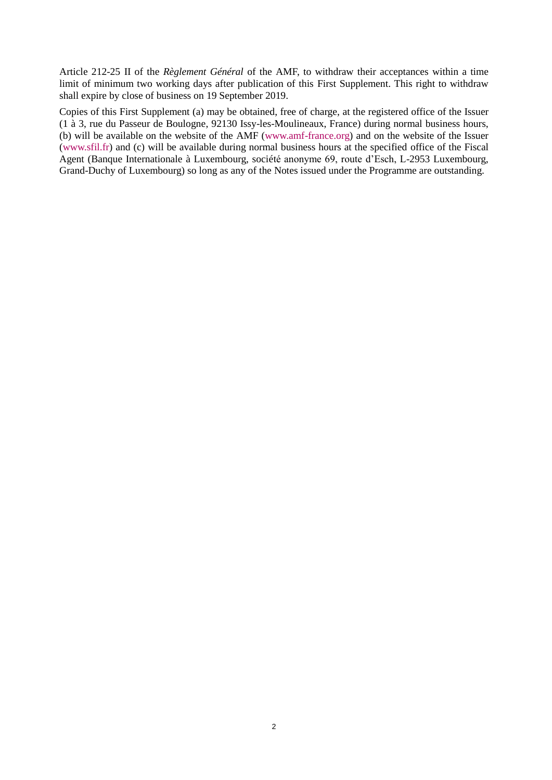Article 212-25 II of the *Règlement Général* of the AMF, to withdraw their acceptances within a time limit of minimum two working days after publication of this First Supplement. This right to withdraw shall expire by close of business on 19 September 2019.

Copies of this First Supplement (a) may be obtained, free of charge, at the registered office of the Issuer (1 à 3, rue du Passeur de Boulogne, 92130 Issy-les-Moulineaux, France) during normal business hours, (b) will be available on the website of the AMF [\(www.amf-france.org\)](http://www.amf-france.org/) and on the website of the Issuer (www.sfil.fr) and (c) will be available during normal business hours at the specified office of the Fiscal Agent (Banque Internationale à Luxembourg, société anonyme 69, route d'Esch, L-2953 Luxembourg, Grand-Duchy of Luxembourg) so long as any of the Notes issued under the Programme are outstanding.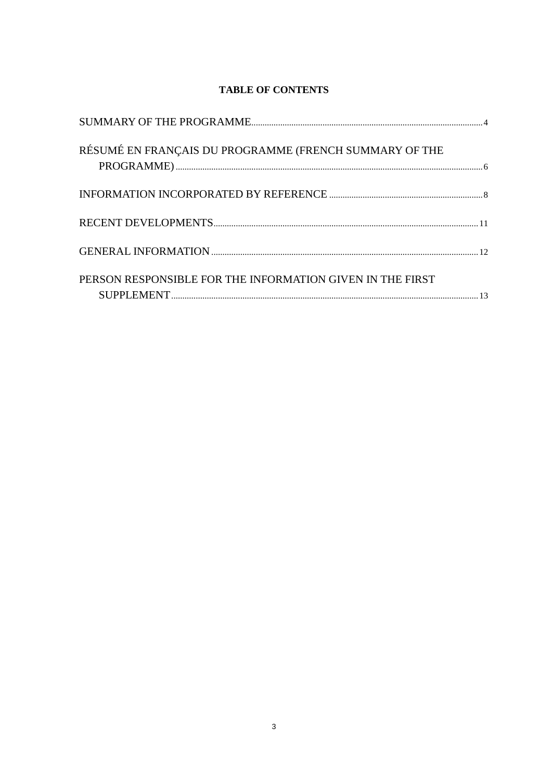# **TABLE OF CONTENTS**

| RÉSUMÉ EN FRANÇAIS DU PROGRAMME (FRENCH SUMMARY OF THE<br>${\tt PROGRAPHMIE} \label{thm:1} \centering {\tt PROGRAPHMIE} \end{math}$ |  |
|-------------------------------------------------------------------------------------------------------------------------------------|--|
|                                                                                                                                     |  |
|                                                                                                                                     |  |
|                                                                                                                                     |  |
| PERSON RESPONSIBLE FOR THE INFORMATION GIVEN IN THE FIRST                                                                           |  |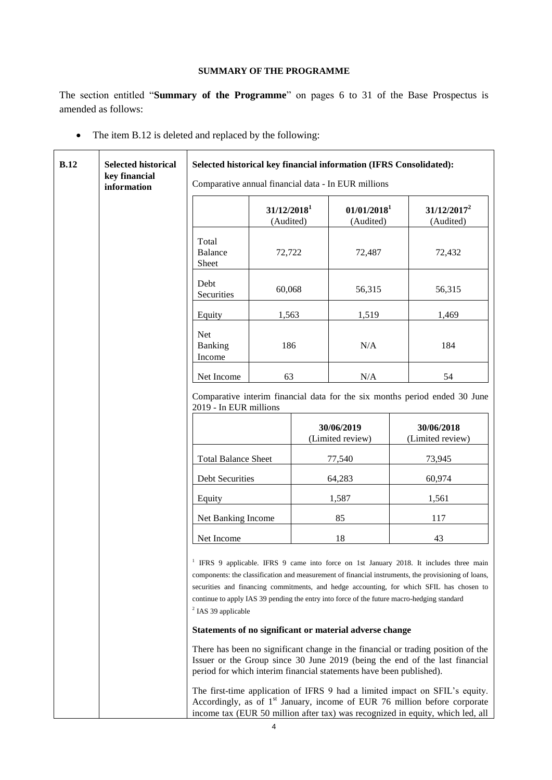## **SUMMARY OF THE PROGRAMME**

<span id="page-3-0"></span>The section entitled "**Summary of the Programme**" on pages 6 to 31 of the Base Prospectus is amended as follows:

• The item B.12 is deleted and replaced by the following:

| <b>B.12</b> | <b>Selected historical</b><br>key financial | Selected historical key financial information (IFRS Consolidated):<br>Comparative annual financial data - In EUR millions                                                                                                                                                                                                                                                                                                                                                                                                                                                                                                                                                                                                                                                                                                                                                                                          |                                                                  |  |                                      |                             |
|-------------|---------------------------------------------|--------------------------------------------------------------------------------------------------------------------------------------------------------------------------------------------------------------------------------------------------------------------------------------------------------------------------------------------------------------------------------------------------------------------------------------------------------------------------------------------------------------------------------------------------------------------------------------------------------------------------------------------------------------------------------------------------------------------------------------------------------------------------------------------------------------------------------------------------------------------------------------------------------------------|------------------------------------------------------------------|--|--------------------------------------|-----------------------------|
|             | information                                 |                                                                                                                                                                                                                                                                                                                                                                                                                                                                                                                                                                                                                                                                                                                                                                                                                                                                                                                    | 31/12/2018 <sup>1</sup><br>(Audited)                             |  | 01/01/2018 <sup>1</sup><br>(Audited) | $31/12/2017^2$<br>(Audited) |
|             |                                             | Total<br>Balance<br>Sheet                                                                                                                                                                                                                                                                                                                                                                                                                                                                                                                                                                                                                                                                                                                                                                                                                                                                                          | 72,722                                                           |  | 72,487                               | 72,432                      |
|             |                                             | Debt<br>Securities                                                                                                                                                                                                                                                                                                                                                                                                                                                                                                                                                                                                                                                                                                                                                                                                                                                                                                 | 60,068                                                           |  | 56,315                               | 56,315                      |
|             |                                             | Equity                                                                                                                                                                                                                                                                                                                                                                                                                                                                                                                                                                                                                                                                                                                                                                                                                                                                                                             | 1,563                                                            |  | 1,519                                | 1,469                       |
|             |                                             | Net<br>Banking<br>Income                                                                                                                                                                                                                                                                                                                                                                                                                                                                                                                                                                                                                                                                                                                                                                                                                                                                                           | 186                                                              |  | N/A                                  | 184                         |
|             |                                             | Net Income                                                                                                                                                                                                                                                                                                                                                                                                                                                                                                                                                                                                                                                                                                                                                                                                                                                                                                         | 63                                                               |  | N/A                                  | 54                          |
|             |                                             | Comparative interim financial data for the six months period ended 30 June<br>2019 - In EUR millions                                                                                                                                                                                                                                                                                                                                                                                                                                                                                                                                                                                                                                                                                                                                                                                                               |                                                                  |  |                                      |                             |
|             |                                             |                                                                                                                                                                                                                                                                                                                                                                                                                                                                                                                                                                                                                                                                                                                                                                                                                                                                                                                    | 30/06/2019<br>30/06/2018<br>(Limited review)<br>(Limited review) |  |                                      |                             |
|             |                                             | <b>Total Balance Sheet</b><br>77,540<br>73,945                                                                                                                                                                                                                                                                                                                                                                                                                                                                                                                                                                                                                                                                                                                                                                                                                                                                     |                                                                  |  |                                      |                             |
|             |                                             | Debt Securities                                                                                                                                                                                                                                                                                                                                                                                                                                                                                                                                                                                                                                                                                                                                                                                                                                                                                                    |                                                                  |  | 64,283                               | 60,974                      |
|             |                                             | Equity                                                                                                                                                                                                                                                                                                                                                                                                                                                                                                                                                                                                                                                                                                                                                                                                                                                                                                             |                                                                  |  | 1,587                                | 1,561                       |
|             |                                             | Net Banking Income<br>85<br>117                                                                                                                                                                                                                                                                                                                                                                                                                                                                                                                                                                                                                                                                                                                                                                                                                                                                                    |                                                                  |  |                                      |                             |
|             |                                             | Net Income                                                                                                                                                                                                                                                                                                                                                                                                                                                                                                                                                                                                                                                                                                                                                                                                                                                                                                         |                                                                  |  | 18                                   | 43                          |
|             |                                             | <sup>1</sup> IFRS 9 applicable. IFRS 9 came into force on 1st January 2018. It includes three main<br>components: the classification and measurement of financial instruments, the provisioning of loans,<br>securities and financing commitments, and hedge accounting, for which SFIL has chosen to<br>continue to apply IAS 39 pending the entry into force of the future macro-hedging standard<br><sup>2</sup> IAS 39 applicable<br>Statements of no significant or material adverse change<br>There has been no significant change in the financial or trading position of the<br>Issuer or the Group since 30 June 2019 (being the end of the last financial<br>period for which interim financial statements have been published).<br>The first-time application of IFRS 9 had a limited impact on SFIL's equity.<br>Accordingly, as of 1 <sup>st</sup> January, income of EUR 76 million before corporate |                                                                  |  |                                      |                             |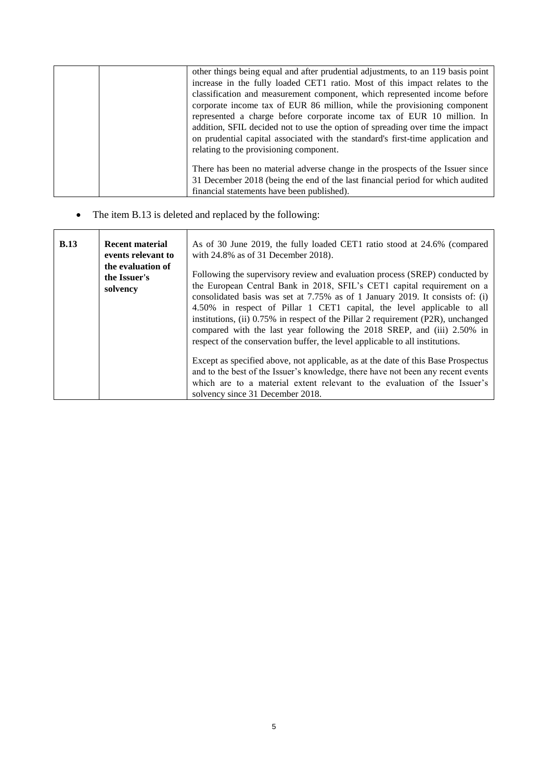|  | other things being equal and after prudential adjustments, to an 119 basis point |
|--|----------------------------------------------------------------------------------|
|  | increase in the fully loaded CET1 ratio. Most of this impact relates to the      |
|  | classification and measurement component, which represented income before        |
|  | corporate income tax of EUR 86 million, while the provisioning component         |
|  | represented a charge before corporate income tax of EUR 10 million. In           |
|  | addition, SFIL decided not to use the option of spreading over time the impact   |
|  | on prudential capital associated with the standard's first-time application and  |
|  | relating to the provisioning component.                                          |
|  |                                                                                  |
|  | There has been no material adverse change in the prospects of the Issuer since   |
|  | 31 December 2018 (being the end of the last financial period for which audited   |
|  | financial statements have been published).                                       |

# • The item B.13 is deleted and replaced by the following:

| <b>B.13</b> | <b>Recent material</b><br>events relevant to<br>the evaluation of | As of 30 June 2019, the fully loaded CET1 ratio stood at 24.6% (compared<br>with $24.8\%$ as of 31 December 2018).                                                                                                                                                                                                                                                                                                                                                                                                                                                |
|-------------|-------------------------------------------------------------------|-------------------------------------------------------------------------------------------------------------------------------------------------------------------------------------------------------------------------------------------------------------------------------------------------------------------------------------------------------------------------------------------------------------------------------------------------------------------------------------------------------------------------------------------------------------------|
|             | the Issuer's<br>solvency                                          | Following the supervisory review and evaluation process (SREP) conducted by<br>the European Central Bank in 2018, SFIL's CET1 capital requirement on a<br>consolidated basis was set at 7.75% as of 1 January 2019. It consists of: (i)<br>4.50% in respect of Pillar 1 CET1 capital, the level applicable to all<br>institutions, (ii) 0.75% in respect of the Pillar 2 requirement (P2R), unchanged<br>compared with the last year following the 2018 SREP, and (iii) 2.50% in<br>respect of the conservation buffer, the level applicable to all institutions. |
|             |                                                                   | Except as specified above, not applicable, as at the date of this Base Prospectus<br>and to the best of the Issuer's knowledge, there have not been any recent events<br>which are to a material extent relevant to the evaluation of the Issuer's<br>solvency since 31 December 2018.                                                                                                                                                                                                                                                                            |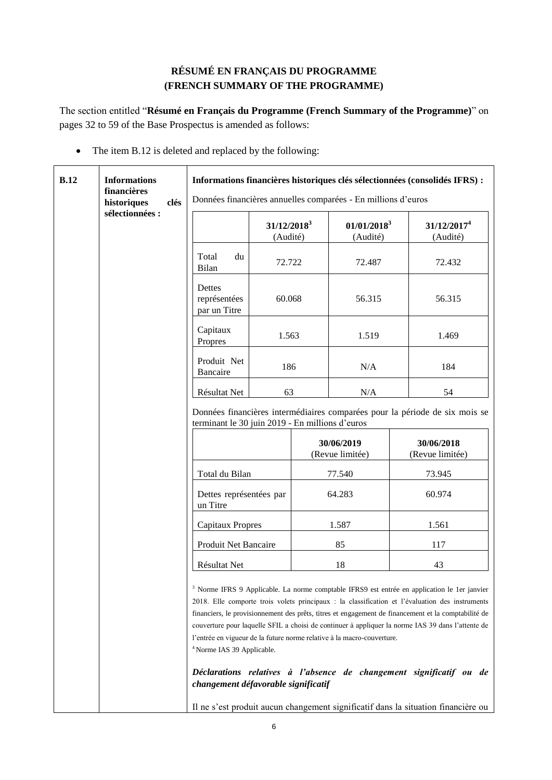# **RÉSUMÉ EN FRANÇAIS DU PROGRAMME (FRENCH SUMMARY OF THE PROGRAMME)**

<span id="page-5-0"></span>The section entitled "**Résumé en Français du Programme (French Summary of the Programme)**" on pages 32 to 59 of the Base Prospectus is amended as follows:

• The item B.12 is deleted and replaced by the following:

| B.12 | <b>Informations</b><br>financières<br>historiques<br>clés | Informations financières historiques clés sélectionnées (consolidés IFRS) :<br>Données financières annuelles comparées - En millions d'euros |                            |                               |                                                                        |                                                                                                                                                                                                                                                                                                                                                                                                                                                                                               |  |
|------|-----------------------------------------------------------|----------------------------------------------------------------------------------------------------------------------------------------------|----------------------------|-------------------------------|------------------------------------------------------------------------|-----------------------------------------------------------------------------------------------------------------------------------------------------------------------------------------------------------------------------------------------------------------------------------------------------------------------------------------------------------------------------------------------------------------------------------------------------------------------------------------------|--|
|      | sélectionnées :                                           |                                                                                                                                              | $31/12/2018^3$<br>(Audité) |                               | $01/01/2018^3$<br>(Audité)                                             | 31/12/2017 <sup>4</sup><br>(Audité)                                                                                                                                                                                                                                                                                                                                                                                                                                                           |  |
|      |                                                           | Total<br>du<br>Bilan                                                                                                                         | 72.722                     |                               | 72.487                                                                 | 72.432                                                                                                                                                                                                                                                                                                                                                                                                                                                                                        |  |
|      |                                                           | Dettes<br>représentées<br>par un Titre                                                                                                       | 60.068                     |                               | 56.315                                                                 | 56.315                                                                                                                                                                                                                                                                                                                                                                                                                                                                                        |  |
|      |                                                           | Capitaux<br>Propres                                                                                                                          | 1.563                      |                               | 1.519                                                                  | 1.469                                                                                                                                                                                                                                                                                                                                                                                                                                                                                         |  |
|      |                                                           | Produit Net<br>Bancaire                                                                                                                      | 186<br>N/A                 |                               | 184                                                                    |                                                                                                                                                                                                                                                                                                                                                                                                                                                                                               |  |
|      |                                                           | Résultat Net                                                                                                                                 | 63                         |                               | N/A                                                                    | 54                                                                                                                                                                                                                                                                                                                                                                                                                                                                                            |  |
|      |                                                           | Données financières intermédiaires comparées pour la période de six mois se<br>terminant le 30 juin 2019 - En millions d'euros               |                            |                               |                                                                        |                                                                                                                                                                                                                                                                                                                                                                                                                                                                                               |  |
|      |                                                           | 30/06/2019<br>(Revue limitée)                                                                                                                |                            | 30/06/2018<br>(Revue limitée) |                                                                        |                                                                                                                                                                                                                                                                                                                                                                                                                                                                                               |  |
|      |                                                           | Total du Bilan                                                                                                                               |                            |                               | 77.540                                                                 | 73.945                                                                                                                                                                                                                                                                                                                                                                                                                                                                                        |  |
|      |                                                           | Dettes représentées par<br>un Titre                                                                                                          |                            |                               | 64.283                                                                 | 60.974                                                                                                                                                                                                                                                                                                                                                                                                                                                                                        |  |
|      |                                                           | <b>Capitaux Propres</b>                                                                                                                      |                            |                               | 1.587                                                                  | 1.561                                                                                                                                                                                                                                                                                                                                                                                                                                                                                         |  |
|      |                                                           | Produit Net Bancaire                                                                                                                         |                            |                               | 85                                                                     | 117                                                                                                                                                                                                                                                                                                                                                                                                                                                                                           |  |
|      |                                                           | 18<br>Résultat Net                                                                                                                           |                            |                               | 43                                                                     |                                                                                                                                                                                                                                                                                                                                                                                                                                                                                               |  |
|      |                                                           | <sup>4</sup> Norme IAS 39 Applicable.<br>changement défavorable significatif                                                                 |                            |                               | l'entrée en vigueur de la future norme relative à la macro-couverture. | <sup>3</sup> Norme IFRS 9 Applicable. La norme comptable IFRS9 est entrée en application le 1er janvier<br>2018. Elle comporte trois volets principaux : la classification et l'évaluation des instruments<br>financiers, le provisionnement des prêts, titres et engagement de financement et la comptabilité de<br>couverture pour laquelle SFIL a choisi de continuer à appliquer la norme IAS 39 dans l'attente de<br>Déclarations relatives à l'absence de changement significatif ou de |  |
|      |                                                           |                                                                                                                                              |                            |                               |                                                                        | Il ne s'est produit aucun changement significatif dans la situation financière ou                                                                                                                                                                                                                                                                                                                                                                                                             |  |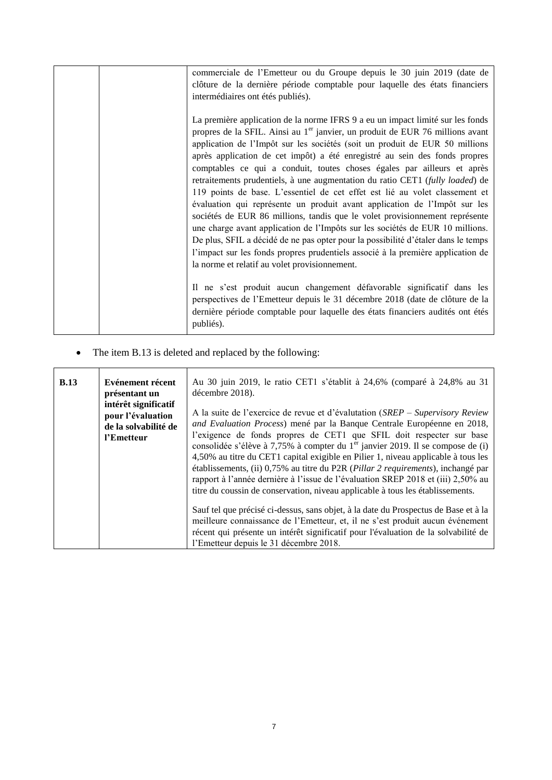| commerciale de l'Emetteur ou du Groupe depuis le 30 juin 2019 (date de<br>clôture de la dernière période comptable pour laquelle des états financiers<br>intermédiaires ont étés publiés).                                                                                                                                                                                                                                                                                                                                                                                                                                                                                                                                                                                                                                                                                                                                                                                                                                                                |
|-----------------------------------------------------------------------------------------------------------------------------------------------------------------------------------------------------------------------------------------------------------------------------------------------------------------------------------------------------------------------------------------------------------------------------------------------------------------------------------------------------------------------------------------------------------------------------------------------------------------------------------------------------------------------------------------------------------------------------------------------------------------------------------------------------------------------------------------------------------------------------------------------------------------------------------------------------------------------------------------------------------------------------------------------------------|
| La première application de la norme IFRS 9 a eu un impact limité sur les fonds<br>propres de la SFIL. Ainsi au 1 <sup>er</sup> janvier, un produit de EUR 76 millions avant<br>application de l'Impôt sur les sociétés (soit un produit de EUR 50 millions<br>après application de cet impôt) a été enregistré au sein des fonds propres<br>comptables ce qui a conduit, toutes choses égales par ailleurs et après<br>retraitements prudentiels, à une augmentation du ratio CET1 (fully loaded) de<br>119 points de base. L'essentiel de cet effet est lié au volet classement et<br>évaluation qui représente un produit avant application de l'Impôt sur les<br>sociétés de EUR 86 millions, tandis que le volet provisionnement représente<br>une charge avant application de l'Impôts sur les sociétés de EUR 10 millions.<br>De plus, SFIL a décidé de ne pas opter pour la possibilité d'étaler dans le temps<br>l'impact sur les fonds propres prudentiels associé à la première application de<br>la norme et relatif au volet provisionnement. |
| Il ne s'est produit aucun changement défavorable significatif dans les<br>perspectives de l'Emetteur depuis le 31 décembre 2018 (date de clôture de la<br>dernière période comptable pour laquelle des états financiers audités ont étés<br>publiés).                                                                                                                                                                                                                                                                                                                                                                                                                                                                                                                                                                                                                                                                                                                                                                                                     |

• The item B.13 is deleted and replaced by the following:

| <b>B.13</b> | Evénement récent<br>présentant un<br>intérêt significatif<br>pour l'évaluation | Au 30 juin 2019, le ratio CET1 s'établit à 24,6% (comparé à 24,8% au 31<br>décembre 2018).<br>A la suite de l'exercice de revue et d'évalutation (SREP – Supervisory Review                                                                                                                                                                                                                                                                                                                                                                                                                           |
|-------------|--------------------------------------------------------------------------------|-------------------------------------------------------------------------------------------------------------------------------------------------------------------------------------------------------------------------------------------------------------------------------------------------------------------------------------------------------------------------------------------------------------------------------------------------------------------------------------------------------------------------------------------------------------------------------------------------------|
|             | de la solvabilité de<br>l'Emetteur                                             | and Evaluation Process) mené par la Banque Centrale Européenne en 2018,<br>l'exigence de fonds propres de CET1 que SFIL doit respecter sur base<br>consolidée s'élève à 7,75% à compter du 1 <sup>er</sup> janvier 2019. Il se compose de (i)<br>4,50% au titre du CET1 capital exigible en Pilier 1, niveau applicable à tous les<br>établissements, (ii) 0,75% au titre du P2R ( <i>Pillar 2 requirements</i> ), inchangé par<br>rapport à l'année dernière à l'issue de l'évaluation SREP 2018 et (iii) 2,50% au<br>titre du coussin de conservation, niveau applicable à tous les établissements. |
|             |                                                                                | Sauf tel que précisé ci-dessus, sans objet, à la date du Prospectus de Base et à la<br>meilleure connaissance de l'Emetteur, et, il ne s'est produit aucun événement<br>récent qui présente un intérêt significatif pour l'évaluation de la solvabilité de<br>l'Emetteur depuis le 31 décembre 2018.                                                                                                                                                                                                                                                                                                  |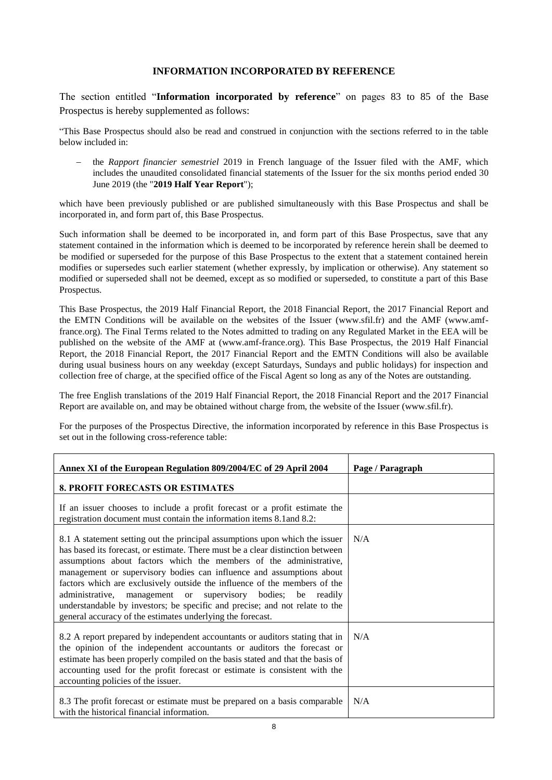#### **INFORMATION INCORPORATED BY REFERENCE**

<span id="page-7-0"></span>The section entitled "**Information incorporated by reference**" on pages 83 to 85 of the Base Prospectus is hereby supplemented as follows:

"This Base Prospectus should also be read and construed in conjunction with the sections referred to in the table below included in:

 the *Rapport financier semestriel* 2019 in French language of the Issuer filed with the AMF, which includes the unaudited consolidated financial statements of the Issuer for the six months period ended 30 June 2019 (the "**2019 Half Year Report**");

which have been previously published or are published simultaneously with this Base Prospectus and shall be incorporated in, and form part of, this Base Prospectus.

Such information shall be deemed to be incorporated in, and form part of this Base Prospectus, save that any statement contained in the information which is deemed to be incorporated by reference herein shall be deemed to be modified or superseded for the purpose of this Base Prospectus to the extent that a statement contained herein modifies or supersedes such earlier statement (whether expressly, by implication or otherwise). Any statement so modified or superseded shall not be deemed, except as so modified or superseded, to constitute a part of this Base Prospectus.

This Base Prospectus, the 2019 Half Financial Report, the 2018 Financial Report, the 2017 Financial Report and the EMTN Conditions will be available on the websites of the Issuer (www.sfil.fr) and the AMF (www.amffrance.org). The Final Terms related to the Notes admitted to trading on any Regulated Market in the EEA will be published on the website of the AMF at (www.amf-france.org). This Base Prospectus, the 2019 Half Financial Report, the 2018 Financial Report, the 2017 Financial Report and the EMTN Conditions will also be available during usual business hours on any weekday (except Saturdays, Sundays and public holidays) for inspection and collection free of charge, at the specified office of the Fiscal Agent so long as any of the Notes are outstanding.

The free English translations of the 2019 Half Financial Report, the 2018 Financial Report and the 2017 Financial Report are available on, and may be obtained without charge from, the website of the Issuer (www.sfil.fr).

For the purposes of the Prospectus Directive, the information incorporated by reference in this Base Prospectus is set out in the following cross-reference table:

| Annex XI of the European Regulation 809/2004/EC of 29 April 2004                                                                                                                                                                                                                                                                                                                                                                                                                                                                                                                                      | Page / Paragraph |
|-------------------------------------------------------------------------------------------------------------------------------------------------------------------------------------------------------------------------------------------------------------------------------------------------------------------------------------------------------------------------------------------------------------------------------------------------------------------------------------------------------------------------------------------------------------------------------------------------------|------------------|
| <b>8. PROFIT FORECASTS OR ESTIMATES</b>                                                                                                                                                                                                                                                                                                                                                                                                                                                                                                                                                               |                  |
| If an issuer chooses to include a profit forecast or a profit estimate the<br>registration document must contain the information items 8.1 and 8.2:                                                                                                                                                                                                                                                                                                                                                                                                                                                   |                  |
| 8.1 A statement setting out the principal assumptions upon which the issuer<br>has based its forecast, or estimate. There must be a clear distinction between<br>assumptions about factors which the members of the administrative,<br>management or supervisory bodies can influence and assumptions about<br>factors which are exclusively outside the influence of the members of the<br>administrative, management or supervisory bodies; be readily<br>understandable by investors; be specific and precise; and not relate to the<br>general accuracy of the estimates underlying the forecast. | N/A              |
| 8.2 A report prepared by independent accountants or auditors stating that in<br>the opinion of the independent accountants or auditors the forecast or<br>estimate has been properly compiled on the basis stated and that the basis of<br>accounting used for the profit forecast or estimate is consistent with the<br>accounting policies of the issuer.                                                                                                                                                                                                                                           | N/A              |
| 8.3 The profit forecast or estimate must be prepared on a basis comparable<br>with the historical financial information.                                                                                                                                                                                                                                                                                                                                                                                                                                                                              | N/A              |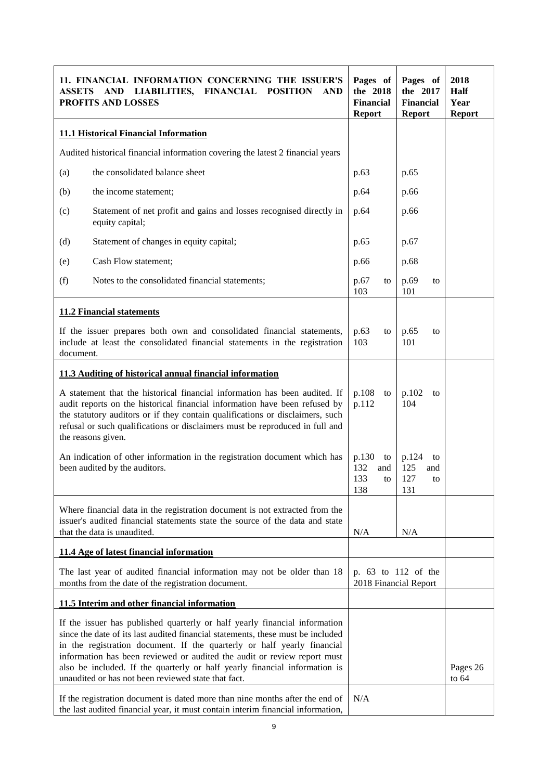| ASSETS                                                                                                                                                                                                                                                                                                                                          | 11. FINANCIAL INFORMATION CONCERNING THE ISSUER'S<br>AND LIABILITIES, FINANCIAL POSITION<br>AND<br><b>PROFITS AND LOSSES</b>                                                                                                                                                                                                                                                                                                                              | Pages of<br>the 2018<br><b>Financial</b><br><b>Report</b> | Pages of<br>the 2017<br><b>Financial</b><br><b>Report</b> | 2018<br>Half<br>Year<br><b>Report</b> |  |
|-------------------------------------------------------------------------------------------------------------------------------------------------------------------------------------------------------------------------------------------------------------------------------------------------------------------------------------------------|-----------------------------------------------------------------------------------------------------------------------------------------------------------------------------------------------------------------------------------------------------------------------------------------------------------------------------------------------------------------------------------------------------------------------------------------------------------|-----------------------------------------------------------|-----------------------------------------------------------|---------------------------------------|--|
|                                                                                                                                                                                                                                                                                                                                                 | <b>11.1 Historical Financial Information</b>                                                                                                                                                                                                                                                                                                                                                                                                              |                                                           |                                                           |                                       |  |
|                                                                                                                                                                                                                                                                                                                                                 | Audited historical financial information covering the latest 2 financial years                                                                                                                                                                                                                                                                                                                                                                            |                                                           |                                                           |                                       |  |
| (a)                                                                                                                                                                                                                                                                                                                                             | the consolidated balance sheet                                                                                                                                                                                                                                                                                                                                                                                                                            | p.63                                                      | p.65                                                      |                                       |  |
| (b)                                                                                                                                                                                                                                                                                                                                             | the income statement;                                                                                                                                                                                                                                                                                                                                                                                                                                     | p.64                                                      | p.66                                                      |                                       |  |
| (c)                                                                                                                                                                                                                                                                                                                                             | Statement of net profit and gains and losses recognised directly in<br>equity capital;                                                                                                                                                                                                                                                                                                                                                                    | p.64                                                      | p.66                                                      |                                       |  |
| (d)                                                                                                                                                                                                                                                                                                                                             | Statement of changes in equity capital;                                                                                                                                                                                                                                                                                                                                                                                                                   | p.65                                                      | p.67                                                      |                                       |  |
| (e)                                                                                                                                                                                                                                                                                                                                             | Cash Flow statement;                                                                                                                                                                                                                                                                                                                                                                                                                                      | p.66                                                      | p.68                                                      |                                       |  |
| (f)                                                                                                                                                                                                                                                                                                                                             | Notes to the consolidated financial statements;                                                                                                                                                                                                                                                                                                                                                                                                           | p.67<br>to<br>103                                         | p.69<br>to<br>101                                         |                                       |  |
|                                                                                                                                                                                                                                                                                                                                                 | <b>11.2 Financial statements</b>                                                                                                                                                                                                                                                                                                                                                                                                                          |                                                           |                                                           |                                       |  |
| document.                                                                                                                                                                                                                                                                                                                                       | If the issuer prepares both own and consolidated financial statements,<br>include at least the consolidated financial statements in the registration                                                                                                                                                                                                                                                                                                      | p.63<br>to<br>103                                         | p.65<br>to<br>101                                         |                                       |  |
|                                                                                                                                                                                                                                                                                                                                                 | 11.3 Auditing of historical annual financial information                                                                                                                                                                                                                                                                                                                                                                                                  |                                                           |                                                           |                                       |  |
| A statement that the historical financial information has been audited. If<br>audit reports on the historical financial information have been refused by<br>the statutory auditors or if they contain qualifications or disclaimers, such<br>refusal or such qualifications or disclaimers must be reproduced in full and<br>the reasons given. |                                                                                                                                                                                                                                                                                                                                                                                                                                                           |                                                           | p.102<br>to<br>104                                        |                                       |  |
| An indication of other information in the registration document which has<br>been audited by the auditors.                                                                                                                                                                                                                                      |                                                                                                                                                                                                                                                                                                                                                                                                                                                           |                                                           | p.124<br>to<br>125<br>and<br>127<br>to<br>131             |                                       |  |
| Where financial data in the registration document is not extracted from the<br>issuer's audited financial statements state the source of the data and state<br>that the data is unaudited.                                                                                                                                                      |                                                                                                                                                                                                                                                                                                                                                                                                                                                           |                                                           | N/A                                                       |                                       |  |
|                                                                                                                                                                                                                                                                                                                                                 | 11.4 Age of latest financial information                                                                                                                                                                                                                                                                                                                                                                                                                  |                                                           |                                                           |                                       |  |
| The last year of audited financial information may not be older than 18<br>months from the date of the registration document.                                                                                                                                                                                                                   |                                                                                                                                                                                                                                                                                                                                                                                                                                                           |                                                           | p. 63 to 112 of the<br>2018 Financial Report              |                                       |  |
|                                                                                                                                                                                                                                                                                                                                                 | 11.5 Interim and other financial information                                                                                                                                                                                                                                                                                                                                                                                                              |                                                           |                                                           |                                       |  |
|                                                                                                                                                                                                                                                                                                                                                 | If the issuer has published quarterly or half yearly financial information<br>since the date of its last audited financial statements, these must be included<br>in the registration document. If the quarterly or half yearly financial<br>information has been reviewed or audited the audit or review report must<br>also be included. If the quarterly or half yearly financial information is<br>unaudited or has not been reviewed state that fact. |                                                           |                                                           | Pages 26<br>to $64$                   |  |
|                                                                                                                                                                                                                                                                                                                                                 | N/A<br>If the registration document is dated more than nine months after the end of<br>the last audited financial year, it must contain interim financial information,                                                                                                                                                                                                                                                                                    |                                                           |                                                           |                                       |  |

÷

'n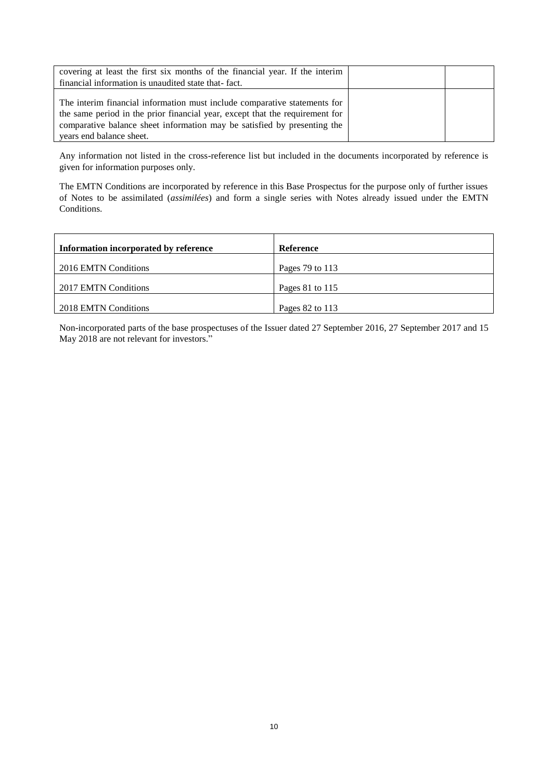| covering at least the first six months of the financial year. If the interim<br>financial information is unaudited state that-fact. |  |
|-------------------------------------------------------------------------------------------------------------------------------------|--|
|                                                                                                                                     |  |
|                                                                                                                                     |  |
| The interim financial information must include comparative statements for                                                           |  |
| the same period in the prior financial year, except that the requirement for                                                        |  |
| comparative balance sheet information may be satisfied by presenting the                                                            |  |
| years end balance sheet.                                                                                                            |  |

Any information not listed in the cross-reference list but included in the documents incorporated by reference is given for information purposes only.

The EMTN Conditions are incorporated by reference in this Base Prospectus for the purpose only of further issues of Notes to be assimilated (*assimilées*) and form a single series with Notes already issued under the EMTN Conditions.

| Information incorporated by reference | <b>Reference</b> |
|---------------------------------------|------------------|
| 2016 EMTN Conditions                  | Pages 79 to 113  |
| 2017 EMTN Conditions                  | Pages 81 to 115  |
| 2018 EMTN Conditions                  | Pages 82 to 113  |

Non-incorporated parts of the base prospectuses of the Issuer dated 27 September 2016, 27 September 2017 and 15 May 2018 are not relevant for investors."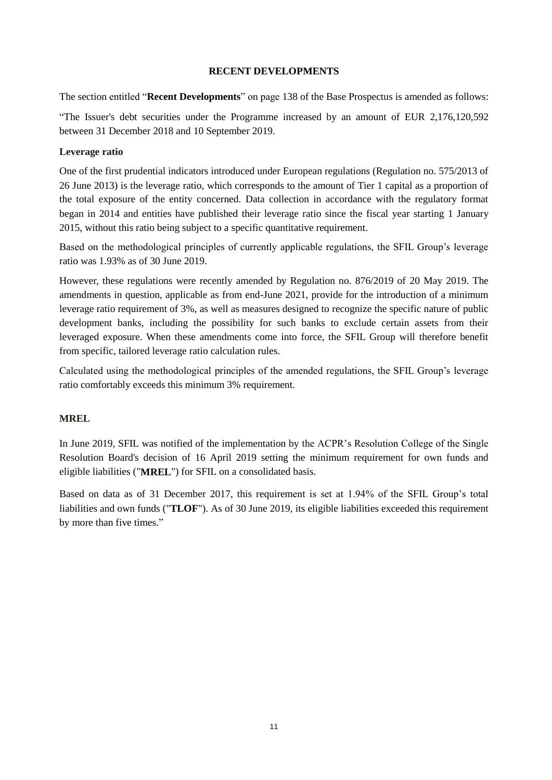#### **RECENT DEVELOPMENTS**

<span id="page-10-0"></span>The section entitled "**Recent Developments**" on page 138 of the Base Prospectus is amended as follows:

"The Issuer's debt securities under the Programme increased by an amount of EUR 2,176,120,592 between 31 December 2018 and 10 September 2019.

#### **Leverage ratio**

One of the first prudential indicators introduced under European regulations (Regulation no. 575/2013 of 26 June 2013) is the leverage ratio, which corresponds to the amount of Tier 1 capital as a proportion of the total exposure of the entity concerned. Data collection in accordance with the regulatory format began in 2014 and entities have published their leverage ratio since the fiscal year starting 1 January 2015, without this ratio being subject to a specific quantitative requirement.

Based on the methodological principles of currently applicable regulations, the SFIL Group's leverage ratio was 1.93% as of 30 June 2019.

However, these regulations were recently amended by Regulation no. 876/2019 of 20 May 2019. The amendments in question, applicable as from end-June 2021, provide for the introduction of a minimum leverage ratio requirement of 3%, as well as measures designed to recognize the specific nature of public development banks, including the possibility for such banks to exclude certain assets from their leveraged exposure. When these amendments come into force, the SFIL Group will therefore benefit from specific, tailored leverage ratio calculation rules.

Calculated using the methodological principles of the amended regulations, the SFIL Group's leverage ratio comfortably exceeds this minimum 3% requirement.

## **MREL**

In June 2019, SFIL was notified of the implementation by the ACPR's Resolution College of the Single Resolution Board's decision of 16 April 2019 setting the minimum requirement for own funds and eligible liabilities ("**MREL**") for SFIL on a consolidated basis.

Based on data as of 31 December 2017, this requirement is set at 1.94% of the SFIL Group's total liabilities and own funds ("**TLOF**"). As of 30 June 2019, its eligible liabilities exceeded this requirement by more than five times."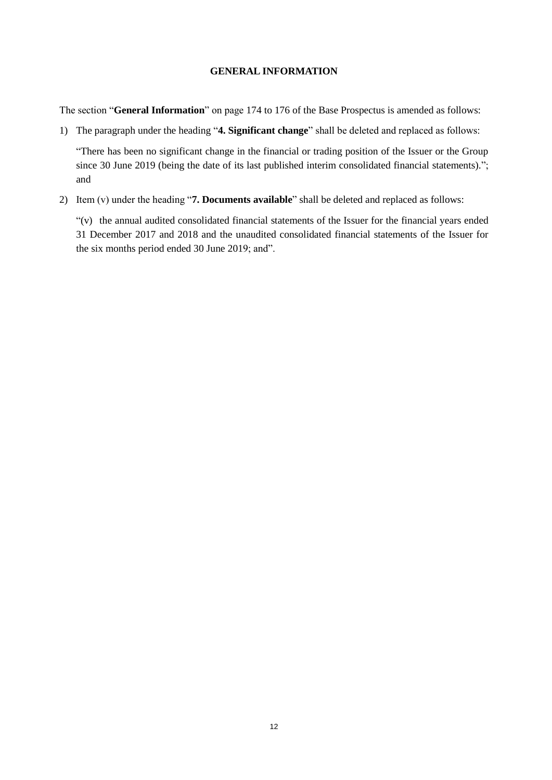#### **GENERAL INFORMATION**

<span id="page-11-0"></span>The section "**General Information**" on page 174 to 176 of the Base Prospectus is amended as follows:

1) The paragraph under the heading "**4. Significant change**" shall be deleted and replaced as follows:

"There has been no significant change in the financial or trading position of the Issuer or the Group since 30 June 2019 (being the date of its last published interim consolidated financial statements)."; and

2) Item (v) under the heading "**7. Documents available**" shall be deleted and replaced as follows:

"(v) the annual audited consolidated financial statements of the Issuer for the financial years ended 31 December 2017 and 2018 and the unaudited consolidated financial statements of the Issuer for the six months period ended 30 June 2019; and".